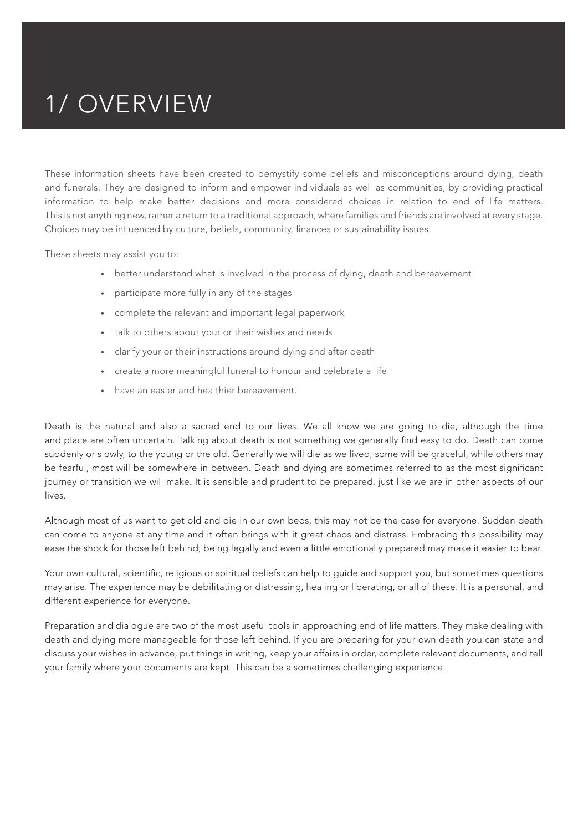## 1/ OVERVIEW

These information sheets have been created to demystify some beliefs and misconceptions around dying, death and funerals. They are designed to inform and empower individuals as well as communities, by providing practical information to help make better decisions and more considered choices in relation to end of life matters. This is not anything new, rather a return to a traditional approach, where families and friends are involved at every stage. Choices may be influenced by culture, beliefs, community, finances or sustainability issues.

These sheets may assist you to:

- better understand what is involved in the process of dying, death and bereavement
- participate more fully in any of the stages
- complete the relevant and important legal paperwork
- talk to others about your or their wishes and needs
- clarify your or their instructions around dying and after death
- create a more meaningful funeral to honour and celebrate a life
- have an easier and healthier bereavement.

Death is the natural and also a sacred end to our lives. We all know we are going to die, although the time and place are often uncertain. Talking about death is not something we generally find easy to do. Death can come suddenly or slowly, to the young or the old. Generally we will die as we lived; some will be graceful, while others may be fearful, most will be somewhere in between. Death and dying are sometimes referred to as the most significant journey or transition we will make. It is sensible and prudent to be prepared, just like we are in other aspects of our lives.

Although most of us want to get old and die in our own beds, this may not be the case for everyone. Sudden death can come to anyone at any time and it often brings with it great chaos and distress. Embracing this possibility may ease the shock for those left behind; being legally and even a little emotionally prepared may make it easier to bear.

Your own cultural, scientific, religious or spiritual beliefs can help to guide and support you, but sometimes questions may arise. The experience may be debilitating or distressing, healing or liberating, or all of these. It is a personal, and different experience for everyone.

Preparation and dialogue are two of the most useful tools in approaching end of life matters. They make dealing with death and dying more manageable for those left behind. If you are preparing for your own death you can state and discuss your wishes in advance, put things in writing, keep your affairs in order, complete relevant documents, and tell your family where your documents are kept. This can be a sometimes challenging experience.